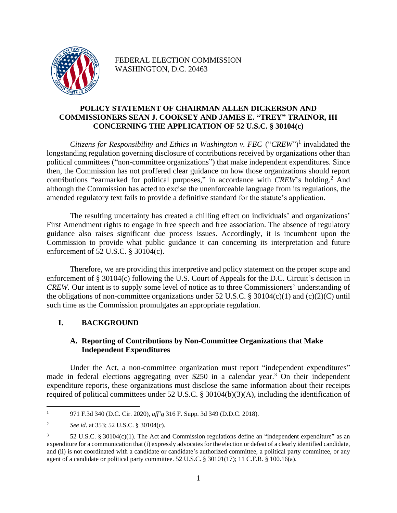

FEDERAL ELECTION COMMISSION WASHINGTON, D.C. 20463

## **POLICY STATEMENT OF CHAIRMAN ALLEN DICKERSON AND COMMISSIONERS SEAN J. COOKSEY AND JAMES E. "TREY" TRAINOR, III CONCERNING THE APPLICATION OF 52 U.S.C. § 30104(c)**

*Citizens for Responsibility and Ethics in Washington v. FEC* ("CREW")<sup>1</sup> invalidated the longstanding regulation governing disclosure of contributions received by organizations other than political committees ("non-committee organizations") that make independent expenditures. Since then, the Commission has not proffered clear guidance on how those organizations should report contributions "earmarked for political purposes," in accordance with *CREW*'s holding.<sup>2</sup> And although the Commission has acted to excise the unenforceable language from its regulations, the amended regulatory text fails to provide a definitive standard for the statute's application.

The resulting uncertainty has created a chilling effect on individuals' and organizations' First Amendment rights to engage in free speech and free association. The absence of regulatory guidance also raises significant due process issues. Accordingly, it is incumbent upon the Commission to provide what public guidance it can concerning its interpretation and future enforcement of 52 U.S.C. § 30104(c).

Therefore, we are providing this interpretive and policy statement on the proper scope and enforcement of § 30104(c) following the U.S. Court of Appeals for the D.C. Circuit's decision in *CREW.* Our intent is to supply some level of notice as to three Commissioners' understanding of the obligations of non-committee organizations under 52 U.S.C. § 30104(c)(1) and (c)(2)(C) until such time as the Commission promulgates an appropriate regulation.

# **I. BACKGROUND**

## **A. Reporting of Contributions by Non-Committee Organizations that Make Independent Expenditures**

Under the Act, a non-committee organization must report "independent expenditures" made in federal elections aggregating over \$250 in a calendar year.<sup>3</sup> On their independent expenditure reports, these organizations must disclose the same information about their receipts required of political committees under 52 U.S.C. § 30104(b)(3)(A), including the identification of

<sup>1</sup> 971 F.3d 340 (D.C. Cir. 2020), *aff'g* 316 F. Supp. 3d 349 (D.D.C. 2018).

<sup>2</sup> *See id*. at 353; 52 U.S.C. § 30104(c).

<sup>3</sup> 52 U.S.C. § 30104(c)(1). The Act and Commission regulations define an "independent expenditure" as an expenditure for a communication that (i) expressly advocates for the election or defeat of a clearly identified candidate, and (ii) is not coordinated with a candidate or candidate's authorized committee, a political party committee, or any agent of a candidate or political party committee. 52 U.S.C. § 30101(17); 11 C.F.R. § 100.16(a).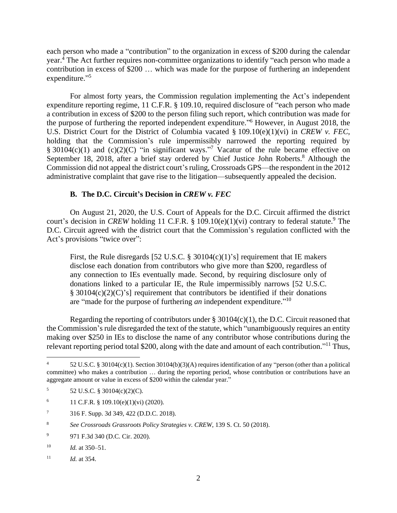each person who made a "contribution" to the organization in excess of \$200 during the calendar year.<sup>4</sup> The Act further requires non-committee organizations to identify "each person who made a contribution in excess of \$200 … which was made for the purpose of furthering an independent expenditure."

For almost forty years, the Commission regulation implementing the Act's independent expenditure reporting regime, 11 C.F.R. § 109.10, required disclosure of "each person who made a contribution in excess of \$200 to the person filing such report, which contribution was made for the purpose of furthering the reported independent expenditure." <sup>6</sup> However, in August 2018, the U.S. District Court for the District of Columbia vacated § 109.10(e)(1)(vi) in *CREW v. FEC*, holding that the Commission's rule impermissibly narrowed the reporting required by § 30104 $(c)(1)$  and  $(c)(2)(C)$  "in significant ways."<sup>7</sup> Vacatur of the rule became effective on September 18, 2018, after a brief stay ordered by Chief Justice John Roberts.<sup>8</sup> Although the Commission did not appeal the district court's ruling, Crossroads GPS—the respondent in the 2012 administrative complaint that gave rise to the litigation—subsequently appealed the decision.

### **B. The D.C. Circuit's Decision in** *CREW v. FEC*

On August 21, 2020, the U.S. Court of Appeals for the D.C. Circuit affirmed the district court's decision in *CREW* holding 11 C.F.R. § 109.10(e)(1)(vi) contrary to federal statute.<sup>9</sup> The D.C. Circuit agreed with the district court that the Commission's regulation conflicted with the Act's provisions "twice over":

First, the Rule disregards [52 U.S.C. § 30104(c)(1)'s] requirement that IE makers disclose each donation from contributors who give more than \$200, regardless of any connection to IEs eventually made. Second, by requiring disclosure only of donations linked to a particular IE, the Rule impermissibly narrows [52 U.S.C. § 30104(c)(2)(C)'s] requirement that contributors be identified if their donations are "made for the purpose of furthering *an* independent expenditure." 10

Regarding the reporting of contributors under  $\S 30104(c)(1)$ , the D.C. Circuit reasoned that the Commission's rule disregarded the text of the statute, which "unambiguously requires an entity making over \$250 in IEs to disclose the name of any contributor whose contributions during the relevant reporting period total \$200, along with the date and amount of each contribution."<sup>11</sup> Thus,

<sup>4</sup> 52 U.S.C. § 30104(c)(1). Section 30104(b)(3)(A) requires identification of any "person (other than a political committee) who makes a contribution … during the reporting period, whose contribution or contributions have an aggregate amount or value in excess of \$200 within the calendar year."

 $5$  52 U.S.C. § 30104(c)(2)(C).

<sup>6 11</sup> C.F.R. § 109.10(e)(1)(vi) (2020).

<sup>7</sup> 316 F. Supp. 3d 349, 422 (D.D.C. 2018).

<sup>8</sup> *See Crossroads Grassroots Policy Strategies v. CREW*, 139 S. Ct. 50 (2018).

<sup>9</sup> 971 F.3d 340 (D.C. Cir. 2020).

<sup>10</sup> *Id.* at 350–51.

<sup>11</sup> *Id.* at 354.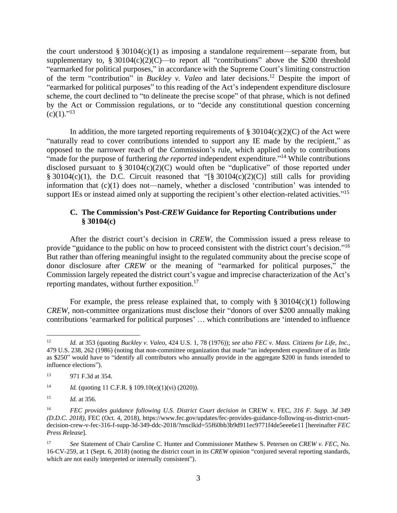the court understood  $\S 30104(c)(1)$  as imposing a standalone requirement—separate from, but supplementary to,  $\S 30104(c)(2)(C)$ —to report all "contributions" above the \$200 threshold "earmarked for political purposes," in accordance with the Supreme Court's limiting construction of the term "contribution" in *Buckley v. Valeo* and later decisions. <sup>12</sup> Despite the import of "earmarked for political purposes" to this reading of the Act's independent expenditure disclosure scheme, the court declined to "to delineate the precise scope" of that phrase, which is not defined by the Act or Commission regulations, or to "decide any constitutional question concerning  $(c)(1).$ "<sup>13</sup>

In addition, the more targeted reporting requirements of  $\S 30104(c)(2)(C)$  of the Act were "naturally read to cover contributions intended to support any IE made by the recipient," as opposed to the narrower reach of the Commission's rule, which applied only to contributions "made for the purpose of furthering *the reported* independent expenditure."<sup>14</sup> While contributions disclosed pursuant to  $\S 30104(c)(2)(C)$  would often be "duplicative" of those reported under § 30104(c)(1), the D.C. Circuit reasoned that "[§ 30104(c)(2)(C)] still calls for providing information that (c)(1) does not—namely, whether a disclosed 'contribution' was intended to support IEs or instead aimed only at supporting the recipient's other election-related activities."<sup>15</sup>

### **C. The Commission's Post-***CREW* **Guidance for Reporting Contributions under § 30104(c)**

After the district court's decision in *CREW*, the Commission issued a press release to provide "guidance to the public on how to proceed consistent with the district court's decision."<sup>16</sup> But rather than offering meaningful insight to the regulated community about the precise scope of donor disclosure after *CREW* or the meaning of "earmarked for political purposes," the Commission largely repeated the district court's vague and imprecise characterization of the Act's reporting mandates, without further exposition.<sup>17</sup>

For example, the press release explained that, to comply with  $\S 30104(c)(1)$  following *CREW*, non-committee organizations must disclose their "donors of over \$200 annually making contributions 'earmarked for political purposes' … which contributions are 'intended to influence

<sup>12</sup> *Id.* at 353 (quoting *Buckley v. Valeo*, 424 U.S. 1, 78 (1976)); *see also FEC v. Mass. Citizens for Life, Inc.*, 479 U.S. 238, 262 (1986) (noting that non-committee organization that made "an independent expenditure of as little as \$250" would have to "identify all contributors who annually provide in the aggregate \$200 in funds intended to influence elections").

<sup>13</sup> 971 F.3d at 354.

<sup>14</sup> *Id.* (quoting 11 C.F.R. § 109.10(e)(1)(vi) (2020)).

<sup>15</sup> *Id.* at 356.

<sup>16</sup> *FEC provides guidance following U.S. District Court decision in* CREW v. FEC*, 316 F. Supp. 3d 349 (D.D.C. 2018)*, FEC (Oct. 4, 2018), https://www.fec.gov/updates/fec-provides-guidance-following-us-district-courtdecision-crew-v-fec-316-f-supp-3d-349-ddc-2018/?msclkid=55f60bb3b9d911ec9771f4de5eee6e11 [hereinafter *FEC Press Release*].

<sup>17</sup> *See* Statement of Chair Caroline C. Hunter and Commissioner Matthew S. Petersen on *CREW v. FEC*, No. 16-CV-259, at 1 (Sept. 6, 2018) (noting the district court in its *CREW* opinion "conjured several reporting standards, which are not easily interpreted or internally consistent").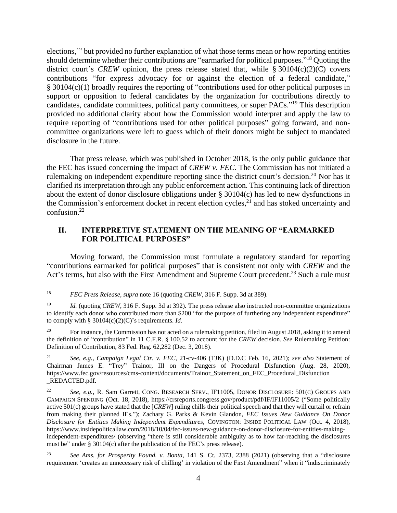elections,'" but provided no further explanation of what those terms mean or how reporting entities should determine whether their contributions are "earmarked for political purposes."<sup>18</sup> Quoting the district court's *CREW* opinion, the press release stated that, while  $\S 30104(c)(2)(C)$  covers contributions "for express advocacy for or against the election of a federal candidate," § 30104(c)(1) broadly requires the reporting of "contributions used for other political purposes in support or opposition to federal candidates by the organization for contributions directly to candidates, candidate committees, political party committees, or super PACs."<sup>19</sup> This description provided no additional clarity about how the Commission would interpret and apply the law to require reporting of "contributions used for other political purposes" going forward, and noncommittee organizations were left to guess which of their donors might be subject to mandated disclosure in the future.

That press release, which was published in October 2018, is the only public guidance that the FEC has issued concerning the impact of *CREW v. FEC*. The Commission has not initiated a rulemaking on independent expenditure reporting since the district court's decision.<sup>20</sup> Nor has it clarified its interpretation through any public enforcement action. This continuing lack of direction about the extent of donor disclosure obligations under § 30104(c) has led to new dysfunctions in the Commission's enforcement docket in recent election cycles, $^{21}$  and has stoked uncertainty and confusion. 22

### **II. INTERPRETIVE STATEMENT ON THE MEANING OF "EARMARKED FOR POLITICAL PURPOSES"**

Moving forward, the Commission must formulate a regulatory standard for reporting "contributions earmarked for political purposes" that is consistent not only with *CREW* and the Act's terms, but also with the First Amendment and Supreme Court precedent.<sup>23</sup> Such a rule must

<sup>18</sup> *FEC Press Release*, *supra* note 16 (quoting *CREW*, 316 F. Supp. 3d at 389).

<sup>&</sup>lt;sup>19</sup> *Id.* (quoting *CREW*, 316 F. Supp. 3d at 392). The press release also instructed non-committee organizations to identify each donor who contributed more than \$200 "for the purpose of furthering any independent expenditure" to comply with § 30104(c)(2)(C)'s requirements. *Id.* 

<sup>&</sup>lt;sup>20</sup> For instance, the Commission has not acted on a rulemaking petition, filed in August 2018, asking it to amend the definition of "contribution" in 11 C.F.R. § 100.52 to account for the *CREW* decision. *See* Rulemaking Petition: Definition of Contribution, 83 Fed. Reg. 62,282 (Dec. 3, 2018).

<sup>21</sup> *See*, *e.g.*, *Campaign Legal Ctr. v. FEC*, 21-cv-406 (TJK) (D.D.C Feb. 16, 2021); *see also* Statement of Chairman James E. "Trey" Trainor, III on the Dangers of Procedural Disfunction (Aug. 28, 2020), https://www.fec.gov/resources/cms-content/documents/Trainor\_Statement\_on\_FEC\_Procedural\_Disfunction \_REDACTED.pdf.

<sup>22</sup> *See, e.g.*, R. Sam Garrett, CONG. RESEARCH SERV., IF11005, DONOR DISCLOSURE: 501(C) GROUPS AND CAMPAIGN SPENDING (Oct. 18, 2018), https://crsreports.congress.gov/product/pdf/IF/IF11005/2 ("Some politically active 501(c) groups have stated that the [*CREW*] ruling chills their political speech and that they will curtail or refrain from making their planned IEs."); Zachary G. Parks & Kevin Glandon, *FEC Issues New Guidance On Donor Disclosure for Entities Making Independent Expenditures*, COVINGTON: INSIDE POLITICAL LAW (Oct. 4, 2018), https://www.insidepoliticallaw.com/2018/10/04/fec-issues-new-guidance-on-donor-disclosure-for-entities-makingindependent-expenditures/ (observing "there is still considerable ambiguity as to how far-reaching the disclosures must be" under § 30104(c) after the publication of the FEC's press release).

<sup>23</sup> *See Ams. for Prosperity Found. v. Bonta*, 141 S. Ct. 2373, 2388 (2021) (observing that a "disclosure requirement 'creates an unnecessary risk of chilling' in violation of the First Amendment" when it "indiscriminately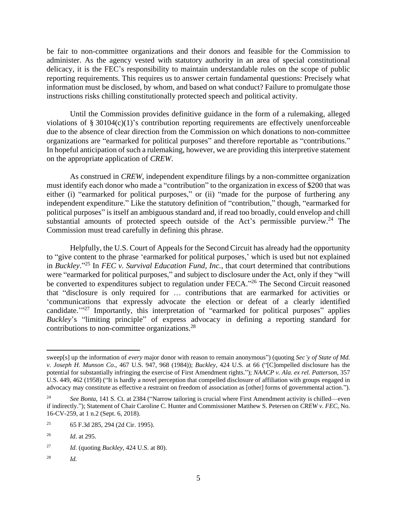be fair to non-committee organizations and their donors and feasible for the Commission to administer. As the agency vested with statutory authority in an area of special constitutional delicacy, it is the FEC's responsibility to maintain understandable rules on the scope of public reporting requirements. This requires us to answer certain fundamental questions: Precisely what information must be disclosed, by whom, and based on what conduct? Failure to promulgate those instructions risks chilling constitutionally protected speech and political activity.

Until the Commission provides definitive guidance in the form of a rulemaking, alleged violations of § 30104(c)(1)'s contribution reporting requirements are effectively unenforceable due to the absence of clear direction from the Commission on which donations to non-committee organizations are "earmarked for political purposes" and therefore reportable as "contributions." In hopeful anticipation of such a rulemaking, however, we are providing this interpretive statement on the appropriate application of *CREW*.

As construed in *CREW*, independent expenditure filings by a non-committee organization must identify each donor who made a "contribution" to the organization in excess of \$200 that was either (i) "earmarked for political purposes," or (ii) "made for the purpose of furthering any independent expenditure." Like the statutory definition of "contribution," though, "earmarked for political purposes" is itself an ambiguous standard and, if read too broadly, could envelop and chill substantial amounts of protected speech outside of the Act's permissible purview.<sup>24</sup> The Commission must tread carefully in defining this phrase.

Helpfully, the U.S. Court of Appeals for the Second Circuit has already had the opportunity to "give content to the phrase 'earmarked for political purposes,' which is used but not explained in *Buckley*." <sup>25</sup> In *FEC v. Survival Education Fund, Inc.*, that court determined that contributions were "earmarked for political purposes," and subject to disclosure under the Act, only if they "will be converted to expenditures subject to regulation under FECA."<sup>26</sup> The Second Circuit reasoned that "disclosure is only required for … contributions that are earmarked for activities or 'communications that expressly advocate the election or defeat of a clearly identified candidate."<sup>27</sup> Importantly, this interpretation of "earmarked for political purposes" applies *Buckley*'s "limiting principle" of express advocacy in defining a reporting standard for contributions to non-committee organizations.<sup>28</sup>

<sup>28</sup> *Id.*

sweep[s] up the information of *every* major donor with reason to remain anonymous") (quoting *Sec'y of State of Md. v. Joseph H. Munson Co*., 467 U.S. 947, 968 (1984)); *Buckley*, 424 U.S. at 66 ("[C]ompelled disclosure has the potential for substantially infringing the exercise of First Amendment rights."); *NAACP v. Ala. ex rel. Patterson*, 357 U.S. 449, 462 (1958) ("It is hardly a novel perception that compelled disclosure of affiliation with groups engaged in advocacy may constitute as effective a restraint on freedom of association as [other] forms of governmental action.").

<sup>24</sup> *See Bonta*, 141 S. Ct. at 2384 ("Narrow tailoring is crucial where First Amendment activity is chilled—even if indirectly."); Statement of Chair Caroline C. Hunter and Commissioner Matthew S. Petersen on *CREW v. FEC*, No. 16-CV-259, at 1 n.2 (Sept. 6, 2018).

<sup>25</sup> 65 F.3d 285, 294 (2d Cir. 1995).

<sup>26</sup> *Id*. at 295.

<sup>27</sup> *Id*. (quoting *Buckley*, 424 U.S. at 80).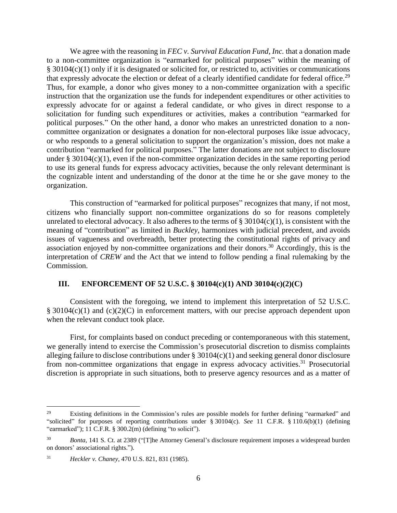We agree with the reasoning in *FEC v. Survival Education Fund, Inc.* that a donation made to a non-committee organization is "earmarked for political purposes" within the meaning of § 30104(c)(1) only if it is designated or solicited for, or restricted to, activities or communications that expressly advocate the election or defeat of a clearly identified candidate for federal office.<sup>29</sup> Thus, for example, a donor who gives money to a non-committee organization with a specific instruction that the organization use the funds for independent expenditures or other activities to expressly advocate for or against a federal candidate, or who gives in direct response to a solicitation for funding such expenditures or activities, makes a contribution "earmarked for political purposes." On the other hand, a donor who makes an unrestricted donation to a noncommittee organization or designates a donation for non-electoral purposes like issue advocacy, or who responds to a general solicitation to support the organization's mission, does not make a contribution "earmarked for political purposes." The latter donations are not subject to disclosure under  $\S 30104(c)(1)$ , even if the non-committee organization decides in the same reporting period to use its general funds for express advocacy activities, because the only relevant determinant is the cognizable intent and understanding of the donor at the time he or she gave money to the organization.

This construction of "earmarked for political purposes" recognizes that many, if not most, citizens who financially support non-committee organizations do so for reasons completely unrelated to electoral advocacy. It also adheres to the terms of  $\S 30104(c)(1)$ , is consistent with the meaning of "contribution" as limited in *Buckley*, harmonizes with judicial precedent, and avoids issues of vagueness and overbreadth, better protecting the constitutional rights of privacy and association enjoyed by non-committee organizations and their donors.<sup>30</sup> Accordingly, this is the interpretation of *CREW* and the Act that we intend to follow pending a final rulemaking by the Commission.

#### **III. ENFORCEMENT OF 52 U.S.C. § 30104(c)(1) AND 30104(c)(2)(C)**

Consistent with the foregoing, we intend to implement this interpretation of 52 U.S.C.  $\S$  30104(c)(1) and (c)(2)(C) in enforcement matters, with our precise approach dependent upon when the relevant conduct took place.

First, for complaints based on conduct preceding or contemporaneous with this statement, we generally intend to exercise the Commission's prosecutorial discretion to dismiss complaints alleging failure to disclose contributions under § 30104(c)(1) and seeking general donor disclosure from non-committee organizations that engage in express advocacy activities.<sup>31</sup> Prosecutorial discretion is appropriate in such situations, both to preserve agency resources and as a matter of

<sup>&</sup>lt;sup>29</sup> Existing definitions in the Commission's rules are possible models for further defining "earmarked" and "solicited" for purposes of reporting contributions under § 30104(c). *See* 11 C.F.R. § 110.6(b)(1) (defining "earmarked"); 11 C.F.R. § 300.2(m) (defining "to solicit").

<sup>30</sup> *Bonta*, 141 S. Ct. at 2389 ("[T]he Attorney General's disclosure requirement imposes a widespread burden on donors' associational rights.").

<sup>31</sup> *Heckler v. Chaney*, 470 U.S. 821, 831 (1985).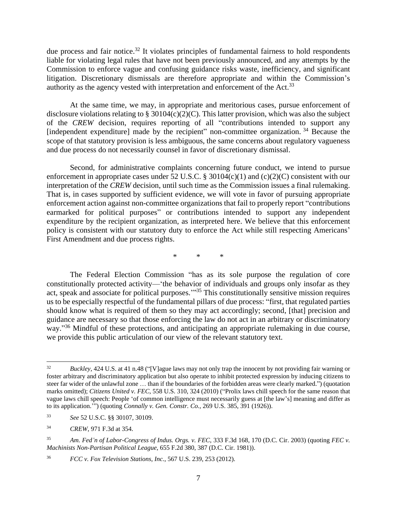due process and fair notice.<sup>32</sup> It violates principles of fundamental fairness to hold respondents liable for violating legal rules that have not been previously announced, and any attempts by the Commission to enforce vague and confusing guidance risks waste, inefficiency, and significant litigation. Discretionary dismissals are therefore appropriate and within the Commission's authority as the agency vested with interpretation and enforcement of the Act.<sup>33</sup>

At the same time, we may, in appropriate and meritorious cases, pursue enforcement of disclosure violations relating to § 30104(c)(2)(C). This latter provision, which was also the subject of the *CREW* decision, requires reporting of all "contributions intended to support any [independent expenditure] made by the recipient" non-committee organization.<sup>34</sup> Because the scope of that statutory provision is less ambiguous, the same concerns about regulatory vagueness and due process do not necessarily counsel in favor of discretionary dismissal.

Second, for administrative complaints concerning future conduct, we intend to pursue enforcement in appropriate cases under 52 U.S.C. § 30104(c)(1) and (c)(2)(C) consistent with our interpretation of the *CREW* decision, until such time as the Commission issues a final rulemaking. That is, in cases supported by sufficient evidence, we will vote in favor of pursuing appropriate enforcement action against non-committee organizations that fail to properly report "contributions earmarked for political purposes" or contributions intended to support any independent expenditure by the recipient organization, as interpreted here. We believe that this enforcement policy is consistent with our statutory duty to enforce the Act while still respecting Americans' First Amendment and due process rights.

\* \* \*

The Federal Election Commission "has as its sole purpose the regulation of core constitutionally protected activity—'the behavior of individuals and groups only insofar as they act, speak and associate for political purposes."<sup>35</sup> This constitutionally sensitive mission requires us to be especially respectful of the fundamental pillars of due process: "first, that regulated parties should know what is required of them so they may act accordingly; second, [that] precision and guidance are necessary so that those enforcing the law do not act in an arbitrary or discriminatory way."<sup>36</sup> Mindful of these protections, and anticipating an appropriate rulemaking in due course, we provide this public articulation of our view of the relevant statutory text.

<sup>32</sup> *Buckley*, 424 U.S. at 41 n.48 ("[V]ague laws may not only trap the innocent by not providing fair warning or foster arbitrary and discriminatory application but also operate to inhibit protected expression by inducing citizens to steer far wider of the unlawful zone … than if the boundaries of the forbidden areas were clearly marked.") (quotation marks omitted); *Citizens United v. FEC*, 558 U.S. 310, 324 (2010) ("Prolix laws chill speech for the same reason that vague laws chill speech: People 'of common intelligence must necessarily guess at [the law's] meaning and differ as to its application.'") (quoting *Connally v. Gen. Constr. Co.*, 269 U.S. 385, 391 (1926)).

<sup>33</sup> *See* 52 U.S.C. §§ 30107, 30109.

<sup>34</sup> *CREW*, 971 F.3d at 354.

<sup>35</sup> *Am. Fed'n of Labor-Congress of Indus. Orgs. v. FEC*, 333 F.3d 168, 170 (D.C. Cir. 2003) (quoting *FEC v. Machinists Non-Partisan Political League*, 655 F.2d 380, 387 (D.C. Cir. 1981)).

<sup>36</sup> *FCC v. Fox Television Stations, Inc.*, 567 U.S. 239, 253 (2012).